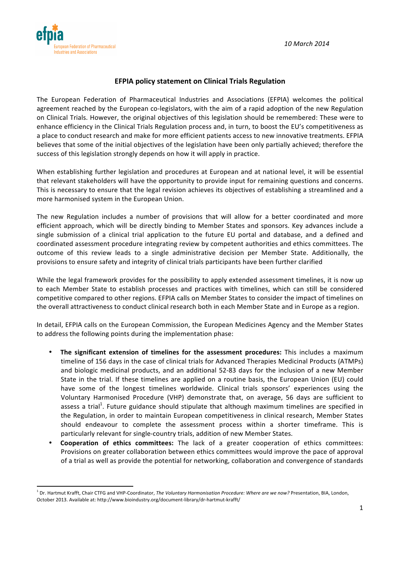*10 March 2014*



<u> 1989 - Jan Samuel Barbara, margaret e</u>

## **EFPIA policy statement on Clinical Trials Regulation**

The European Federation of Pharmaceutical Industries and Associations (EFPIA) welcomes the political agreement reached by the European co-legislators, with the aim of a rapid adoption of the new Regulation on Clinical Trials. However, the original objectives of this legislation should be remembered: These were to enhance efficiency in the Clinical Trials Regulation process and, in turn, to boost the EU's competitiveness as a place to conduct research and make for more efficient patients access to new innovative treatments. EFPIA believes that some of the initial objectives of the legislation have been only partially achieved; therefore the success of this legislation strongly depends on how it will apply in practice.

When establishing further legislation and procedures at European and at national level, it will be essential that relevant stakeholders will have the opportunity to provide input for remaining questions and concerns. This is necessary to ensure that the legal revision achieves its objectives of establishing a streamlined and a more harmonised system in the European Union.

The new Regulation includes a number of provisions that will allow for a better coordinated and more efficient approach, which will be directly binding to Member States and sponsors. Key advances include a single submission of a clinical trial application to the future EU portal and database, and a defined and coordinated assessment procedure integrating review by competent authorities and ethics committees. The outcome of this review leads to a single administrative decision per Member State. Additionally, the provisions to ensure safety and integrity of clinical trials participants have been further clarified

While the legal framework provides for the possibility to apply extended assessment timelines, it is now up to each Member State to establish processes and practices with timelines, which can still be considered competitive compared to other regions. EFPIA calls on Member States to consider the impact of timelines on the overall attractiveness to conduct clinical research both in each Member State and in Europe as a region.

In detail, EFPIA calls on the European Commission, the European Medicines Agency and the Member States to address the following points during the implementation phase:

- The significant extension of timelines for the assessment procedures: This includes a maximum timeline of 156 days in the case of clinical trials for Advanced Therapies Medicinal Products (ATMPs) and biologic medicinal products, and an additional 52-83 days for the inclusion of a new Member State in the trial. If these timelines are applied on a routine basis, the European Union (EU) could have some of the longest timelines worldwide. Clinical trials sponsors' experiences using the Voluntary Harmonised Procedure (VHP) demonstrate that, on average, 56 days are sufficient to assess a trial<sup>1</sup>. Future guidance should stipulate that although maximum timelines are specified in the Regulation, in order to maintain European competitiveness in clinical research, Member States should endeavour to complete the assessment process within a shorter timeframe. This is particularly relevant for single-country trials, addition of new Member States.
- **Cooperation of ethics committees:** The lack of a greater cooperation of ethics committees: Provisions on greater collaboration between ethics committees would improve the pace of approval of a trial as well as provide the potential for networking, collaboration and convergence of standards

<sup>&</sup>lt;sup>1</sup> Dr. Hartmut Krafft, Chair CTFG and VHP-Coordinator, *The Voluntary Harmonisation Procedure: Where are we now?* Presentation, BIA, London, October 2013. Available at: http://www.bioindustry.org/document-library/dr-hartmut-krafft/